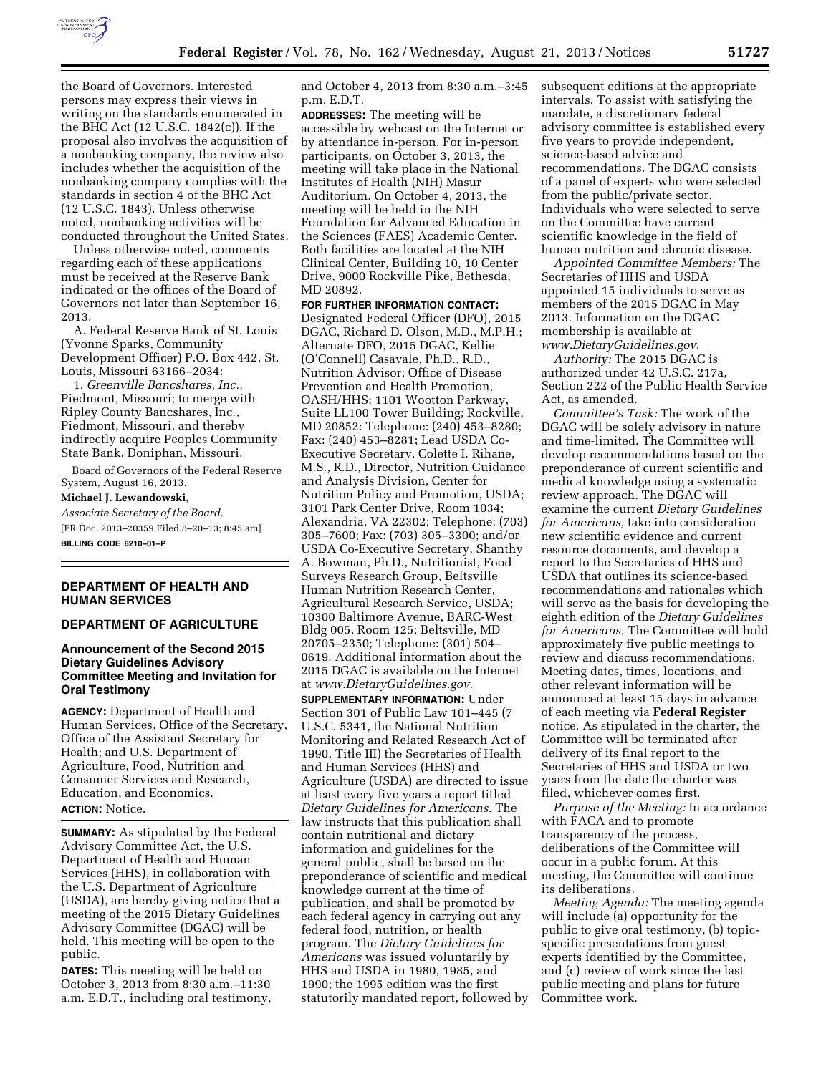

the Board of Governors. Interested persons may express their views in writing on the standards enumerated in the BHC Act (12 U.S.C. 1842(c)). If the proposal also involves the acquisition of a nonbanking company, the review also includes whether the acquisition of the nonbanking company complies with the standards in section 4 of the BHC Act (12 U.S.C. 1843). Unless otherwise noted, nonbanking activities will be conducted throughout the United States.

Unless otherwise noted, comments regarding each of these applications must be received at the Reserve Bank indicated or the offices of the Board of Governors not later than September 16, 2013.

A. Federal Reserve Bank of St. Louis (Yvonne Sparks, Community Development Officer) P.O. Box 442, St. Louis, Missouri 63166–2034:

1. *Greenville Bancshares, Inc.,*  Piedmont, Missouri; to merge with Ripley County Bancshares, Inc., Piedmont, Missouri, and thereby indirectly acquire Peoples Community State Bank, Doniphan, Missouri.

Board of Governors of the Federal Reserve System, August 16, 2013.

**Michael J. Lewandowski,** 

*Associate Secretary of the Board.*  [FR Doc. 2013–20359 Filed 8–20–13; 8:45 am] **BILLING CODE 6210–01–P** 

### **DEPARTMENT OF HEALTH AND HUMAN SERVICES**

### **DEPARTMENT OF AGRICULTURE**

### **Announcement of the Second 2015 Dietary Guidelines Advisory Committee Meeting and Invitation for Oral Testimony**

**AGENCY:** Department of Health and Human Services, Office of the Secretary, Office of the Assistant Secretary for Health; and U.S. Department of Agriculture, Food, Nutrition and Consumer Services and Research, Education, and Economics. **ACTION:** Notice.

**SUMMARY:** As stipulated by the Federal Advisory Committee Act, the U.S. Department of Health and Human Services (HHS), in collaboration with the U.S. Department of Agriculture (USDA), are hereby giving notice that a meeting of the 2015 Dietary Guidelines Advisory Committee (DGAC) will be held. This meeting will be open to the public.

**DATES:** This meeting will be held on October 3, 2013 from 8:30 a.m.–11:30 a.m. E.D.T., including oral testimony, and October 4, 2013 from 8:30 a.m.–3:45 p.m. E.D.T.

**ADDRESSES:** The meeting will be accessible by webcast on the Internet or by attendance in-person. For in-person participants, on October 3, 2013, the meeting will take place in the National Institutes of Health (NIH) Masur Auditorium. On October 4, 2013, the meeting will be held in the NIH Foundation for Advanced Education in the Sciences (FAES) Academic Center. Both facilities are located at the NIH Clinical Center, Building 10, 10 Center Drive, 9000 Rockville Pike, Bethesda, MD 20892.

**FOR FURTHER INFORMATION CONTACT:**  Designated Federal Officer (DFO), 2015 DGAC, Richard D. Olson, M.D., M.P.H.; Alternate DFO, 2015 DGAC, Kellie (O'Connell) Casavale, Ph.D., R.D., Nutrition Advisor; Office of Disease Prevention and Health Promotion, OASH/HHS; 1101 Wootton Parkway, Suite LL100 Tower Building; Rockville, MD 20852: Telephone: (240) 453–8280; Fax: (240) 453–8281; Lead USDA Co-Executive Secretary, Colette I. Rihane, M.S., R.D., Director, Nutrition Guidance and Analysis Division, Center for Nutrition Policy and Promotion, USDA; 3101 Park Center Drive, Room 1034; Alexandria, VA 22302; Telephone: (703) 305–7600; Fax: (703) 305–3300; and/or USDA Co-Executive Secretary, Shanthy A. Bowman, Ph.D., Nutritionist, Food Surveys Research Group, Beltsville Human Nutrition Research Center, Agricultural Research Service, USDA; 10300 Baltimore Avenue, BARC-West Bldg 005, Room 125; Beltsville, MD 20705–2350; Telephone: (301) 504– 0619. Additional information about the 2015 DGAC is available on the Internet at *[www.DietaryGuidelines.gov](http://www.DietaryGuidelines.gov)*.

**SUPPLEMENTARY INFORMATION:** Under Section 301 of Public Law 101–445 (7 U.S.C. 5341, the National Nutrition Monitoring and Related Research Act of 1990, Title III) the Secretaries of Health and Human Services (HHS) and Agriculture (USDA) are directed to issue at least every five years a report titled *Dietary Guidelines for Americans.* The law instructs that this publication shall contain nutritional and dietary information and guidelines for the general public, shall be based on the preponderance of scientific and medical knowledge current at the time of publication, and shall be promoted by each federal agency in carrying out any federal food, nutrition, or health program. The *Dietary Guidelines for Americans* was issued voluntarily by HHS and USDA in 1980, 1985, and 1990; the 1995 edition was the first statutorily mandated report, followed by subsequent editions at the appropriate intervals. To assist with satisfying the mandate, a discretionary federal advisory committee is established every five years to provide independent, science-based advice and recommendations. The DGAC consists of a panel of experts who were selected from the public/private sector. Individuals who were selected to serve on the Committee have current scientific knowledge in the field of human nutrition and chronic disease.

*Appointed Committee Members:* The Secretaries of HHS and USDA appointed 15 individuals to serve as members of the 2015 DGAC in May 2013. Information on the DGAC membership is available at *[www.DietaryGuidelines.gov](http://www.DietaryGuidelines.gov)*.

*Authority:* The 2015 DGAC is authorized under 42 U.S.C. 217a, Section 222 of the Public Health Service Act, as amended.

*Committee's Task:* The work of the DGAC will be solely advisory in nature and time-limited. The Committee will develop recommendations based on the preponderance of current scientific and medical knowledge using a systematic review approach. The DGAC will examine the current *Dietary Guidelines for Americans,* take into consideration new scientific evidence and current resource documents, and develop a report to the Secretaries of HHS and USDA that outlines its science-based recommendations and rationales which will serve as the basis for developing the eighth edition of the *Dietary Guidelines for Americans.* The Committee will hold approximately five public meetings to review and discuss recommendations. Meeting dates, times, locations, and other relevant information will be announced at least 15 days in advance of each meeting via **Federal Register**  notice. As stipulated in the charter, the Committee will be terminated after delivery of its final report to the Secretaries of HHS and USDA or two years from the date the charter was filed, whichever comes first.

*Purpose of the Meeting:* In accordance with FACA and to promote transparency of the process, deliberations of the Committee will occur in a public forum. At this meeting, the Committee will continue its deliberations.

*Meeting Agenda:* The meeting agenda will include (a) opportunity for the public to give oral testimony, (b) topicspecific presentations from guest experts identified by the Committee, and (c) review of work since the last public meeting and plans for future Committee work.